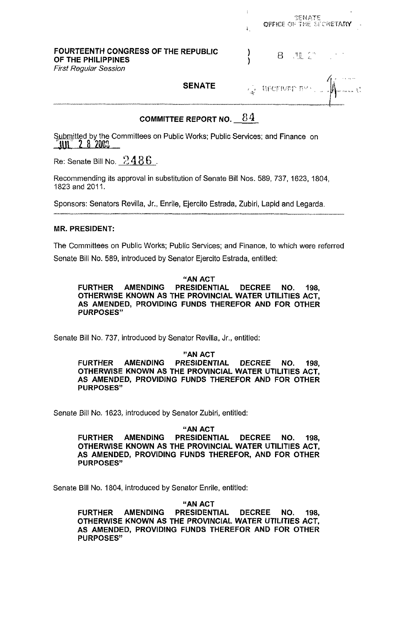|  | SENATE |                                                                               |
|--|--------|-------------------------------------------------------------------------------|
|  |        |                                                                               |
|  |        | -------------                                                                 |
|  |        | OFFICE OF THE SECRETARY<br>8 班会 20<br>$\mathbb{Q}$ therefore $\mathbb{R}^n$ . |

COMMITTEE REPORT NO.  $84$ 

Submitted by the Committees on Public Works; Public Services; and Finance on **3y 2003** 

Re: Senate Bill No.  $12486$ .

Recommending its approval in substitution of Senate Bill Nos. 589, 737, 1623, 1804, 1823 and 2011.

Sponsors: Senators Revilla, Jr., Enrile, Ejercito Estrada, Zubiri, Lapid and Legarda

# MR. PRESIDENT:

The Committees on Public Works; Public Services; and Finance, to which were referred Senate Bill No. 589, introduced by Senator Ejercito Estrada, entitled:

"AN ACT FURTHER AMENDING PRESIDENTIAL DECREE NO. **198,**  OTHERWISE KNOWN AS THE PROVINCIAL WATER UTILITIES ACT, AS AMENDED, PROVIDING FUNDS THEREFOR AND FOR OTHER PURPOSES"

Senate Bill No. 737, introduced by Senator Revilla, Jr., entitled:

"AN ACT

FURTHER AMENDING PRESIDENTIAL DECREE NO. **198,**  OTHERWISE KNOWN AS THE PROVINCIAL WATER UTILITIES ACT, AS AMENDED, PROVIDING FUNDS THEREFOR AND FOR OTHER PURPOSES"

Senate Bill No. 1623, introduced by Senator Zubiri, entitled:

"AN ACT

FURTHER AMENDING PRESIDENTIAL DECREE NO. **198,**  OTHERWISE KNOWN AS THE PROVINCIAL WATER UTILITIES ACT, AS AMENDED, PROVIDING FUNDS THEREFOR, AND FOR OTHER PURPOSES"

Senate Bill No. 1804, introduced by Senator Enrile, entitled:

"AN ACT

FURTHER AMENDING PRESIDENTIAL DECREE NO. **198,**  OTHERWISE KNOWN AS THE PROVINCIAL WATER UTILITIES ACT, AS AMENDED, PROVIDING FUNDS THEREFOR AND FOR OTHER PURPOSES"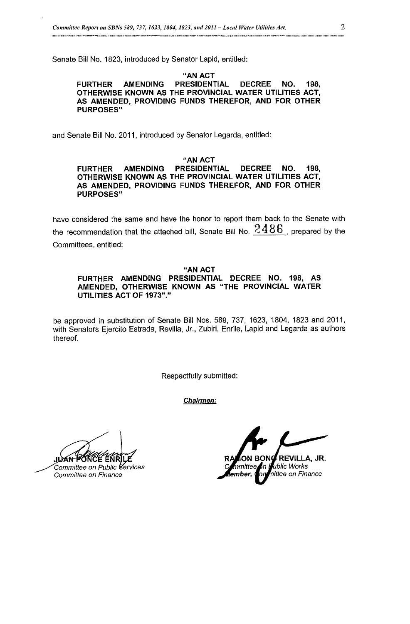Senate Bill No. 1823, introduced by Senator Lapid, entitled:

#### "AN ACT FURTHER AMENDING PRESIDENTIAL DECREE NO. **198,**  OTHERWISE KNOWN AS THE PROVINCIAL WATER UTILITIES ACT, AS AMENDED, PROVIDING FUNDS THEREFOR, AND FOR OTHER PURPOSES"

and Senate Bill No. 2011, introduced by Senator Legarda, entitled:

### "AN ACT

#### FURTHER AMENDING PRESIDENTIAL DECREE NO. **198,**  OTHERWISE KNOWN AS THE PROVINCIAL WATER UTILITIES ACT, AS AMENDED, PROVIDING FUNDS THEREFOR, AND FOR OTHER PURPOSES"

have considered the same and have the honor to report them back to the Senate with the recommendation that the attached bill, Senate Bill No. 2 **4** 8 6 , prepared by the Committees, entitled:

#### "AN ACT FURTHER AMENDING PRESIDENTIAL DECREE NO. **198,** AS AMENDED, OTHERWISE KNOWN AS "THE PROVINCIAL WATER

be approved in substitution of Senate Bill Nos. 589, 737, 1623, 1804, 1823 and 2011, with Senators Ejercito Estrada, Revilla, Jr., Zubiri, Enrile, Lapid and Legarda as authors

thereof.

Respectfully submitted:

*Chairmen:* 

UTILITIES ACT OF **1973"."** 

JUTAN PONCE ENRILE<br>
Committee on Public Bervices<br>
Committee on Finance<br>
Committee on Finance<br>
Committee on Finance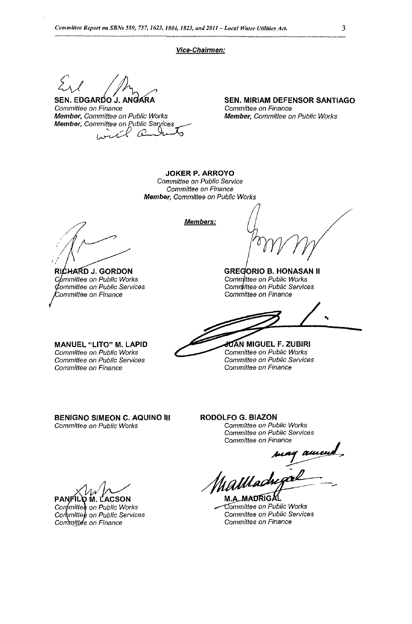#### *Vice-Chairmen:*

SEN. EDGARDO J. ANGARA

*Committee on Finance Member, Committee on Public Works*  Ic  $\mathcal{C}$ 

**SEN. MIRIAM DEFENSOR SANTIAGO**  *Committee on Finance Member, Committee on Public Works* 

**JOKER P. ARROYO**  *Committee on Public Service Committee on Finance Member, Committee on Public Works* 

**RICHARD J. GORDON** *on Public Works on Public Services ommittee on Finance* 

**Members:** 

**GREGORIO B. HONASAN II** Committee on Public Works Committee on Public Services *Committee on Finance* 

**MANUEL "LITO" M. LAPID**  *Committee on Public Works Commiftee on Public Services Committee on Finance* 

**MIGUEL F. ZUBlRl**  *ommittee on Public Works Committee on Public Services Committee on Finance* 

**BENIGN0 SIMEON C. AQUINO 111**  *Committee on Public Works* 

**RODOLFO G. BIAZON**  *Committee on Public Works Committee on Public Services Committee on Finance* 

amen hallach

M.A. MADRIGAL *dmmittee on Public Works Committee on Public Services Committee on Finance* 

**PANFILO M. LACSON**<br>Committed on Public Works<br>Committed on Public Services Committee on Finance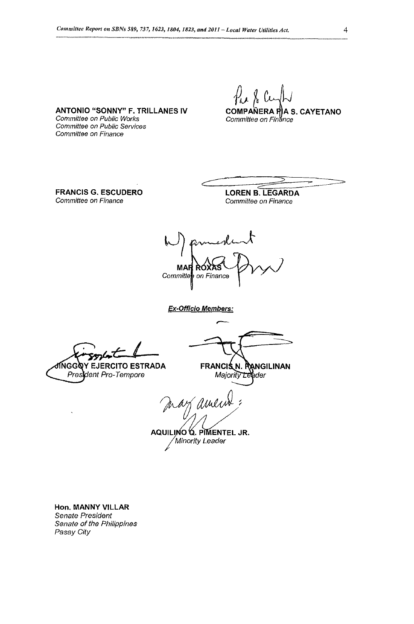**ANTONIO "SONNY" F. TRILLANES IV COMPANERA PARIS. CAYETANO**<br>Committee on Public Works **Committee** on Finance *Commiffee on Public Works Committee on Public Services* 

**FRANCIS G. ESCUDERO**  *Committee on Finance* 

*Committee on Finance* 

**LOREN B. LEGARDA**  *Committee on Finance* 

 $\frac{1}{2011 - Local Water Unlike Act.}$ <br>  $\frac{1}{201}$ <br>
COMPANERA PA S. CAYETANO<br>
COMPANERA PA S. CAYETANO<br>
Committee on Finance<br>
LOREN B. LEGARDA<br>
Committee on Finance<br>
AXRS<br>
Finance

*Ex-Officio Members: P* 

President Pro-Tempore

ADA FRANCIS N. RANGILINAN<br> *Majority Leader*<br>
ANDY AMULIN<sup>2</sup>:<br>
AQUILINO Q. PIMENTEL JR.<br>
Minority Leader

*Alinority Leader* 

**Hon. MANNY VILLAR**  *Senate President Senate of the Philippines Pasay City*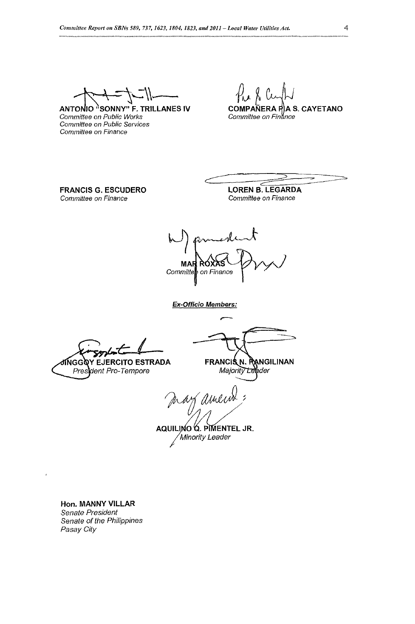ANTONIO "SONNY" F. TRILLANES IV *Committee on Public Works Committee on Public Services Committee on Finance* 

**A S. CAYETANO** *Committee on Finhe* 

**FRANCIS G. ESCUDERO**  *Committee on Finance* 

**LOREN B. LEGARDA**  *Committee on Finance* 

 $d$  2011 - Local Water Utilities Act 4<br>  $\begin{bmatrix} 1 & 0 \\ 0 & 1 \end{bmatrix}$ <br>
COMPANERA P $\begin{bmatrix} 1 & 0 \\ 0 & 1 \end{bmatrix}$ <br>
COMPANERA P $\begin{bmatrix} 1 & 0 \\ 0 & 1 \end{bmatrix}$ <br>
COMEN B. LEGARDA<br>
COMEN B. LEGARDA<br>
COMMITTEE ON Finance MAI

*Ex-Officio Members:* 

**ANGGQY EJERCITO ESTRADA** 

*ent Pro-Tempore* 

FRANCIS N. PANGILINAN<br>Majority Legider

f amein

AQUILINO Q. PIMENTEL JR. */Minority Leader* 

**Hon. MANNY VILLAR**  *Senate President Senate of the Philippines* 

 $\overline{\mathbf{r}}$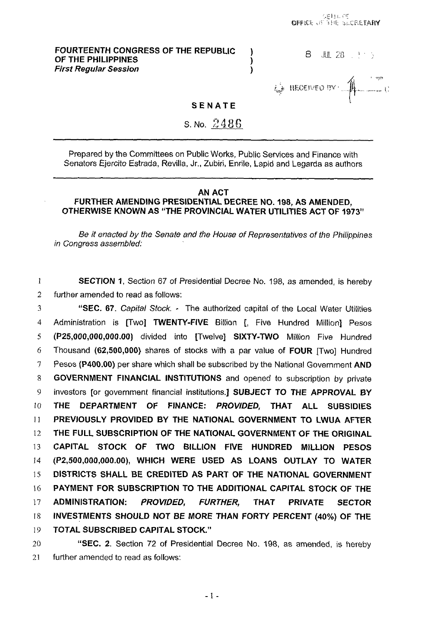# **FOURTEENTH CONGRESS OF THE REPUBLIC (B)** B AND 28 and 3 **DF THE PHILIPPINES** OF THE PHILIPPINES<br>
First Regular Session **1996**

UP THE PHILIPPINES<br>First Regular Session<br>**1 3 ENATE**<br>**1 1 i**<sub>sk</sub> itectived by  $\mathcal{L}$ 

# SENATE

S. No. 2486

Prepared by the Committees on Public Works, Public Services and Finance with Senators Ejercito Estrada, Revilla, Jr., Zubiri, Enrile, Lapid and Legarda as authors

# AN ACT FURTHER AMENDING PRESIDENTIAL DECREE NO. 198, AS AMENDED, OTHERWISE KNOWN AS "THE PROVINCIAL WATER UTILITIES ACT **OF** 1973"

*Be it* enacted *by* the Senate and the House *of* Representatives *of* the Philippines in *Congress* assembled:

1 2 SECTION 1, Section 67 *of* Presidential Decree No. 198, as amended, is hereby further amended to read as follows:

3 4 *5 6 I 8*  **9**  *10*  11 12 13 14 15 I6 17 18 19 "SEC. 67. Capital Stock. - The authorized capital of the Local Water Utilities Administration is [Two] TWENTY-FIVE Billion [, Five Hundred Million] Pesos (P25,000,000,000.00) divided into [Twelve] **SIXTY-TWO** Million Five Hundred Thousand **(62,500,000)** shares of stocks with a par value of FOUR [Two] Hundred Pesos (P400.00) per share which shall be subscribed by the National Government AND GOVERNMENT FINANCIAL INSTITUTIONS and opened to subscription by private investors [or government financial institutions.] SUBJECT TO THE APPROVAL BY THE DEPARTMENT **OF** FINANCE: *PROVlD€D,* THAT ALL SUBSIDIES PREVIOUSLY PROVIDED BY THE NATIONAL GOVERNMENT TO LWUA AFTER THE FULL SUBSCRIPTION OF THE NATIONAL GOVERNMENT OF THE ORIGINAL CAPITAL STOCK OF **TWO** BILLION FIVE HUNDRED MlLLtON PESOS *(P2,500,000,000.00),* WHICH WERE USED AS LOANS OUTLAY TO WATER DISTRICTS SHALL **BE** CREDITED AS PART **OF** THE NATIONAL GOVERNMENT PAYMENT FOR SUBSCRIPTION TO THE ADDITIONAL CAPITAL STOCK OF THE ADMINISTRATION: *PROVIDED,* FURTHER, THAT PRIVATE SECTOR INVESTMENTS SHOULD NOT BE MORE THAN FORTY PERCENT (40%) OF THE TOTAL SUBSCRIBED CAPITAL STOCK."

20 21 "SEC. 2. Section 72 of Presidential Decree No. 198, as amended, is hereby further amended to read as follows: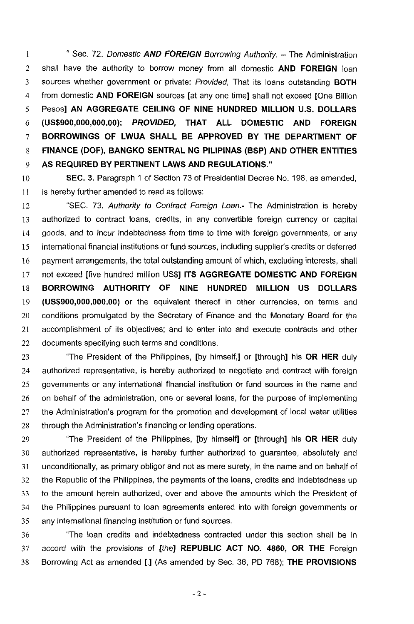1 2 3 4 5 *6*  7 8 9 '' Sec. 72. *Domestic AND FOREIGN* Borrowing Authority. - The Administration shall have the authority to borrow money from all domestic **AND FOREIGN** loan sources whether government or private: Provided, That its loans outstanding **BOTH**  from domestic **AND FOREIGN** sources [at any one time] shall not exceed [One Billion Pesos] **AN AGGREGATE CEILING OF NINE HUNDRED MILLION U.S. DOLLARS (US\$900,000,000.00):** *PROVIDED,* **THAT ALL DOMESTIC AND FOREIGN BORROWINGS OF LWUA SHALL BE APPROVED BY THE DEPARTMENT OF FINANCE (DOF), BANGKO SENTRAL NG PILIPINAS (BSP) AND OTHER ENTITIES AS REQUIRED BY PERTINENT LAWS AND REGULATIONS."** 

10 11 **SEC. 3.** Paragraph 1 of Section 73 of Presidential Decree No. 198, as amended, is hereby further amended to read as follows:

12 13 14 15 16 17 18 19 20 21 22 "SEC. 73. Authority *to* Contract Foreign Loan.- The Administration is hereby authorized to contract loans, credits, in any convertible foreign currency or capital goods, and to incur indebtedness from time to time with foreign governments, or any international financial institutions or fund sources, including supplier's credits or deferred payment arrangements, the total outstanding amount of which, excluding interests, shall not exceed [five hundred million US\$] **ITS AGGREGATE DOMESTIC AND FOREIGN BORROWING AUTHORITY OF NINE HUNDRED MILLION US DOLLARS (US\$900,000,000.00)** or the equivalent thereof in other currencies, on terms and conditions promulgated by the Secretary of Finance and the Monetary Board for the accomplishment of its objectives; and to enter into and execute contracts and other documents specifying such terms and conditions.

23 24 25 26 27 28 "The President of the Philippines, [by himself,] or [through] his **OR HER** duly authorized representative, is hereby authorized to negotiate and contract with foreign governments or any international financial institution or fund sources in the name and on behalf of the administration, one or several loans, for the purpose of implementing the Administration's program for the promotion and development of local water utilities through the Administration's financing or lending operations.

29 30 31 32 33 34 **35**  "The President of the Philippines, [by himself] or [through] his **OR HER** duly authorized representative, is hereby further authorized to guarantee, absolutely and unconditionally, as primary obligor and not as mere surety, in the name and on behalf of the Republic of the Philippines, the payments of the loans, credits and indebtedness up to the amount herein authorized, over and above the amounts which the President of the Philippines pursuant to loan agreements entered into with foreign governments or any international financing institution or fund sources.

36 37 38 "The loan credits and indebtedness contracted under this section shall be in accord with the provisions of [the] **REPUBLIC ACT NO. 4860, OR THE** Foreign Borrowing Act as amended [.I (As amended by Sec. 36, PD 768); **THE PROVISIONS**